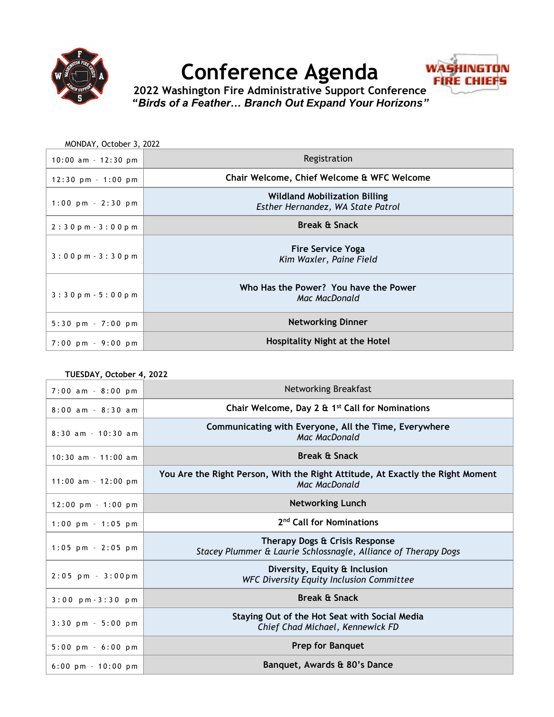

## **Conference Agenda**



**2022 Washington Fire Administrative Support Conference** *"Birds of a Feather… Branch Out Expand Your Horizons"*

| MONDAY, October 3, 2022               |                                                                           |
|---------------------------------------|---------------------------------------------------------------------------|
| $10:00$ am - 12:30 pm                 | Registration                                                              |
| $12:30$ pm $-1:00$ pm                 | Chair Welcome, Chief Welcome & WFC Welcome                                |
| $1:00 \text{ pm } - 2:30 \text{ pm}$  | <b>Wildland Mobilization Billing</b><br>Esther Hernandez, WA State Patrol |
| $2:30p m - 3:00p m$                   | <b>Break &amp; Snack</b>                                                  |
| $3:00 \text{ p m} - 3:30 \text{ p m}$ | <b>Fire Service Yoga</b><br>Kim Waxler, Paine Field                       |
| $3:30p m - 5:00p m$                   | Who Has the Power? You have the Power<br>Mac MacDonald                    |
| $5:30$ pm $-7:00$ pm                  | <b>Networking Dinner</b>                                                  |
| $7:00 \text{ pm} - 9:00 \text{ pm}$   | Hospitality Night at the Hotel                                            |

| TUESDAY, October 4, 2022             |                                                                                                        |  |
|--------------------------------------|--------------------------------------------------------------------------------------------------------|--|
| $7:00$ am - $8:00$ pm                | Networking Breakfast                                                                                   |  |
| $8:00$ am - $8:30$ am                | Chair Welcome, Day 2 & 1 <sup>st</sup> Call for Nominations                                            |  |
| $8:30$ am - 10:30 am                 | Communicating with Everyone, All the Time, Everywhere<br>Mac MacDonald                                 |  |
| $10:30$ am - 11:00 am                | <b>Break &amp; Snack</b>                                                                               |  |
| $11:00$ am - $12:00$ pm              | You Are the Right Person, With the Right Attitude, At Exactly the Right Moment<br><b>Mac MacDonald</b> |  |
| $12:00 \text{ pm} - 1:00 \text{ pm}$ | <b>Networking Lunch</b>                                                                                |  |
| $1:00$ pm - $1:05$ pm                | 2 <sup>nd</sup> Call for Nominations                                                                   |  |
| $1:05$ pm - 2:05 pm                  | Therapy Dogs & Crisis Response<br>Stacey Plummer & Laurie Schlossnagle, Alliance of Therapy Dogs       |  |
| $2:05$ pm - $3:00$ pm                | Diversity, Equity & Inclusion<br><b>WFC Diversity Equity Inclusion Committee</b>                       |  |
| $3:00$ pm $-3:30$ pm                 | <b>Break &amp; Snack</b>                                                                               |  |
| $3:30$ pm - $5:00$ pm                | Staying Out of the Hot Seat with Social Media<br>Chief Chad Michael, Kennewick FD                      |  |
| $5:00 \text{ pm} - 6:00 \text{ pm}$  | <b>Prep for Banquet</b>                                                                                |  |
| $6:00$ pm $-10:00$ pm                | Banquet, Awards & 80's Dance                                                                           |  |